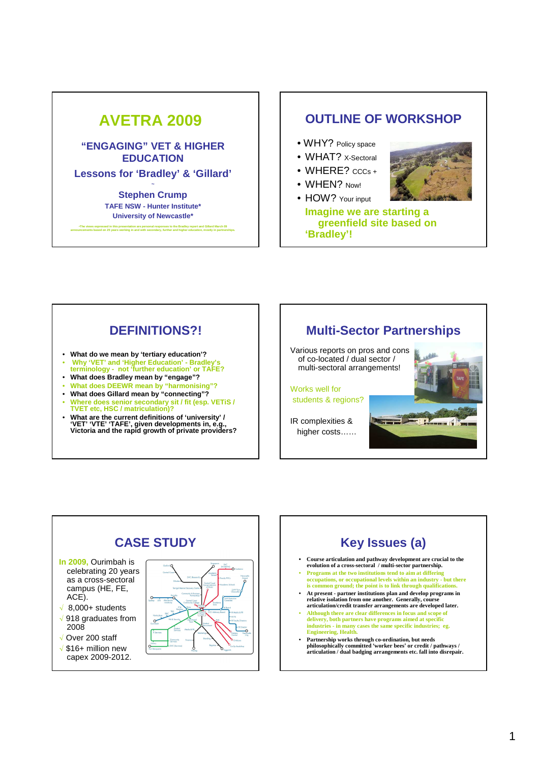#### **AVETRA 2009 "ENGAGING" VET & HIGHER EDUCATION Lessons for 'Bradley' & 'Gillard' ~ Stephen Crump TAFE NSW - Hunter Institute\* University of Newcastle\*** The views expressed in this presentation are personal responses to the Bradley report and Gillard March 09-<br>announcements based on 25 years working in and with secondary, further and higher education, mostly in partnership **OUTLINE OF WORKSHOP** • WHY? Policy space • WHAT? x-Sectoral  $\bullet$  WHERE?  $cccs +$ • WHEN? Now! • HOW? Your input **Imagine we are starting a greenfield site based on 'Bradley'!**

## **DEFINITIONS?!**

- **What do we mean by 'tertiary education'?**
- **Why 'VET' and 'Higher Education' Bradley's terminology not 'further education' or TAFE?**
- **What does Bradley mean by "engage"?**
- **What does DEEWR mean by "harmonising"?**
- **What does Gillard mean by "connecting"?** • **Where does senior secondary sit / fit (esp. VETiS /**
- **TVET etc, HSC / matriculation)?** • **What are the current definitions of 'university' /**
- **'VET' 'VTE' 'TAFE', given developments in, e.g., Victoria and the rapid growth of private providers?**





# **Key Issues (a)**

- **• Course articulation and pathway development are crucial to the evolution of a cross-sectoral / multi-sector partnership.**
- **Programs at the two institutions tend to aim at differing occupations, or occupational levels within an industry - but there is common ground; the point is to link through qualifications.**
- **At present partner institutions plan and develop programs in**  relative isolation from one another. Generally, co **articulation/credit transfer arrangements are developed later.**
- **Although there are clear differences in focus and scope of delivery, both partners have programs aimed at specific industries - in many cases the same specific industries; eg. Engineering, Health.**
- **Partnership works through co-ordination, but needs philosophically committed 'worker bees' or credit / pathways / articulation / dual badging arrangements etc. fall into disrepair.**